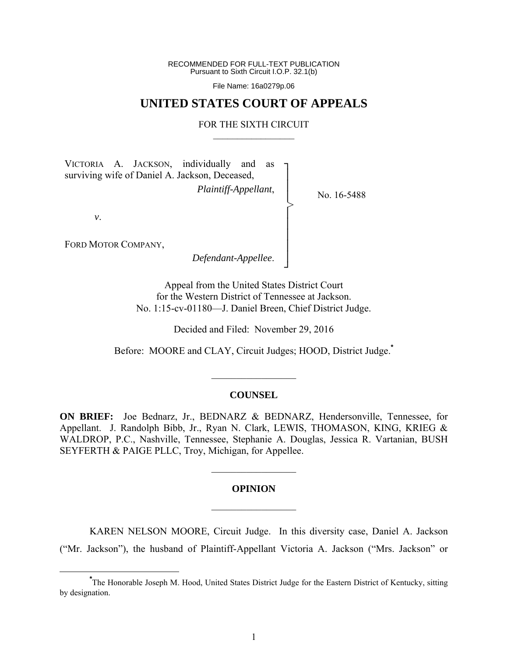RECOMMENDED FOR FULL-TEXT PUBLICATION Pursuant to Sixth Circuit I.O.P. 32.1(b)

File Name: 16a0279p.06

## **UNITED STATES COURT OF APPEALS**

#### FOR THE SIXTH CIRCUIT  $\mathcal{L}_\text{max}$

┐ │ │ │ │ │ │ │ │ ┘

>

VICTORIA A. JACKSON, individually and as surviving wife of Daniel A. Jackson, Deceased, *Plaintiff-Appellant*,

No. 16-5488

*v*.

FORD MOTOR COMPANY,

*Defendant-Appellee*.

Appeal from the United States District Court for the Western District of Tennessee at Jackson. No. 1:15-cv-01180—J. Daniel Breen, Chief District Judge.

Decided and Filed: November 29, 2016

Before: MOORE and CLAY, Circuit Judges; HOOD, District Judge.**\***

#### **COUNSEL**

 $\frac{1}{2}$ 

**ON BRIEF:** Joe Bednarz, Jr., BEDNARZ & BEDNARZ, Hendersonville, Tennessee, for Appellant. J. Randolph Bibb, Jr., Ryan N. Clark, LEWIS, THOMASON, KING, KRIEG & WALDROP, P.C., Nashville, Tennessee, Stephanie A. Douglas, Jessica R. Vartanian, BUSH SEYFERTH & PAIGE PLLC, Troy, Michigan, for Appellee.

# **OPINION**   $\frac{1}{2}$

 $\frac{1}{2}$ 

KAREN NELSON MOORE, Circuit Judge. In this diversity case, Daniel A. Jackson ("Mr. Jackson"), the husband of Plaintiff-Appellant Victoria A. Jackson ("Mrs. Jackson" or

**\*** The Honorable Joseph M. Hood, United States District Judge for the Eastern District of Kentucky, sitting by designation.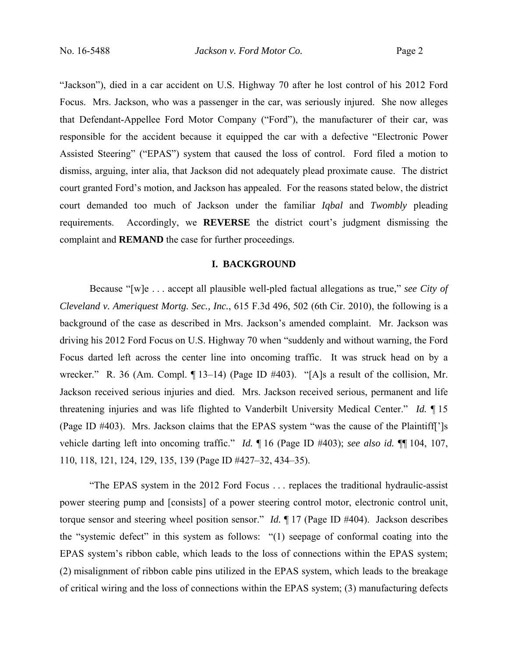"Jackson"), died in a car accident on U.S. Highway 70 after he lost control of his 2012 Ford Focus. Mrs. Jackson, who was a passenger in the car, was seriously injured. She now alleges that Defendant-Appellee Ford Motor Company ("Ford"), the manufacturer of their car, was responsible for the accident because it equipped the car with a defective "Electronic Power Assisted Steering" ("EPAS") system that caused the loss of control. Ford filed a motion to dismiss, arguing, inter alia, that Jackson did not adequately plead proximate cause. The district court granted Ford's motion, and Jackson has appealed. For the reasons stated below, the district court demanded too much of Jackson under the familiar *Iqbal* and *Twombly* pleading requirements. Accordingly, we **REVERSE** the district court's judgment dismissing the complaint and **REMAND** the case for further proceedings.

#### **I. BACKGROUND**

Because "[w]e . . . accept all plausible well-pled factual allegations as true," *see City of Cleveland v. Ameriquest Mortg. Sec., Inc.*, 615 F.3d 496, 502 (6th Cir. 2010), the following is a background of the case as described in Mrs. Jackson's amended complaint. Mr. Jackson was driving his 2012 Ford Focus on U.S. Highway 70 when "suddenly and without warning, the Ford Focus darted left across the center line into oncoming traffic. It was struck head on by a wrecker." R. 36 (Am. Compl. ¶ 13–14) (Page ID #403). "[A]s a result of the collision, Mr. Jackson received serious injuries and died. Mrs. Jackson received serious, permanent and life threatening injuries and was life flighted to Vanderbilt University Medical Center." *Id.* ¶ 15 (Page ID #403). Mrs. Jackson claims that the EPAS system "was the cause of the Plaintiff[']s vehicle darting left into oncoming traffic." *Id.* ¶ 16 (Page ID #403); *see also id.* ¶¶ 104, 107, 110, 118, 121, 124, 129, 135, 139 (Page ID #427–32, 434–35).

"The EPAS system in the 2012 Ford Focus . . . replaces the traditional hydraulic-assist power steering pump and [consists] of a power steering control motor, electronic control unit, torque sensor and steering wheel position sensor." *Id.* ¶ 17 (Page ID #404). Jackson describes the "systemic defect" in this system as follows: "(1) seepage of conformal coating into the EPAS system's ribbon cable, which leads to the loss of connections within the EPAS system; (2) misalignment of ribbon cable pins utilized in the EPAS system, which leads to the breakage of critical wiring and the loss of connections within the EPAS system; (3) manufacturing defects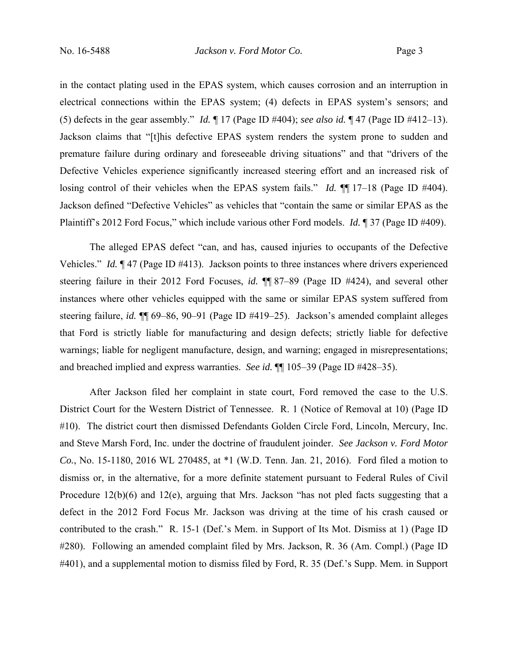in the contact plating used in the EPAS system, which causes corrosion and an interruption in electrical connections within the EPAS system; (4) defects in EPAS system's sensors; and (5) defects in the gear assembly." *Id.* ¶ 17 (Page ID #404); *see also id.* ¶ 47 (Page ID #412–13). Jackson claims that "[t]his defective EPAS system renders the system prone to sudden and premature failure during ordinary and foreseeable driving situations" and that "drivers of the Defective Vehicles experience significantly increased steering effort and an increased risk of losing control of their vehicles when the EPAS system fails." *Id.*  $\P$  17–18 (Page ID #404). Jackson defined "Defective Vehicles" as vehicles that "contain the same or similar EPAS as the Plaintiff's 2012 Ford Focus," which include various other Ford models. *Id.* ¶ 37 (Page ID #409).

The alleged EPAS defect "can, and has, caused injuries to occupants of the Defective Vehicles." *Id.* ¶ 47 (Page ID #413). Jackson points to three instances where drivers experienced steering failure in their 2012 Ford Focuses, *id.* ¶¶ 87–89 (Page ID #424), and several other instances where other vehicles equipped with the same or similar EPAS system suffered from steering failure, *id.* ¶¶ 69–86, 90–91 (Page ID #419–25). Jackson's amended complaint alleges that Ford is strictly liable for manufacturing and design defects; strictly liable for defective warnings; liable for negligent manufacture, design, and warning; engaged in misrepresentations; and breached implied and express warranties. *See id.* ¶¶ 105–39 (Page ID #428–35).

After Jackson filed her complaint in state court, Ford removed the case to the U.S. District Court for the Western District of Tennessee. R. 1 (Notice of Removal at 10) (Page ID #10). The district court then dismissed Defendants Golden Circle Ford, Lincoln, Mercury, Inc. and Steve Marsh Ford, Inc. under the doctrine of fraudulent joinder. *See Jackson v. Ford Motor Co.*, No. 15-1180, 2016 WL 270485, at \*1 (W.D. Tenn. Jan. 21, 2016). Ford filed a motion to dismiss or, in the alternative, for a more definite statement pursuant to Federal Rules of Civil Procedure 12(b)(6) and 12(e), arguing that Mrs. Jackson "has not pled facts suggesting that a defect in the 2012 Ford Focus Mr. Jackson was driving at the time of his crash caused or contributed to the crash." R. 15-1 (Def.'s Mem. in Support of Its Mot. Dismiss at 1) (Page ID #280). Following an amended complaint filed by Mrs. Jackson, R. 36 (Am. Compl.) (Page ID #401), and a supplemental motion to dismiss filed by Ford, R. 35 (Def.'s Supp. Mem. in Support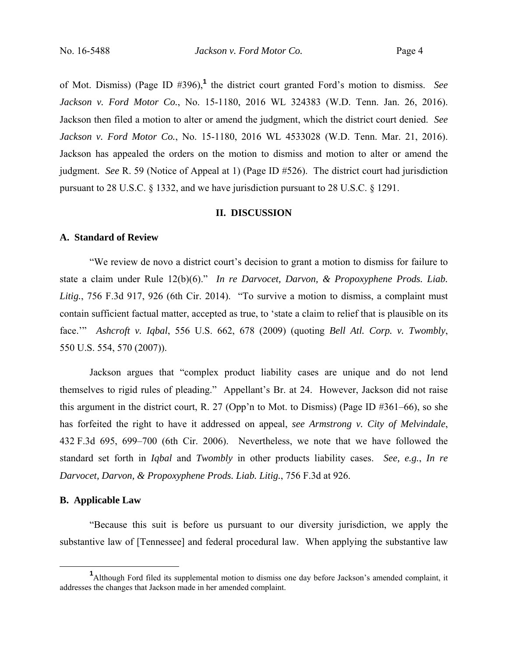of Mot. Dismiss) (Page ID #396),**<sup>1</sup>** the district court granted Ford's motion to dismiss. *See Jackson v. Ford Motor Co.*, No. 15-1180, 2016 WL 324383 (W.D. Tenn. Jan. 26, 2016). Jackson then filed a motion to alter or amend the judgment, which the district court denied. *See Jackson v. Ford Motor Co.*, No. 15-1180, 2016 WL 4533028 (W.D. Tenn. Mar. 21, 2016). Jackson has appealed the orders on the motion to dismiss and motion to alter or amend the judgment. *See* R. 59 (Notice of Appeal at 1) (Page ID #526). The district court had jurisdiction pursuant to 28 U.S.C. § 1332, and we have jurisdiction pursuant to 28 U.S.C. § 1291.

#### **II. DISCUSSION**

### **A. Standard of Review**

"We review de novo a district court's decision to grant a motion to dismiss for failure to state a claim under Rule 12(b)(6)." *In re Darvocet, Darvon, & Propoxyphene Prods. Liab. Litig.*, 756 F.3d 917, 926 (6th Cir. 2014). "To survive a motion to dismiss, a complaint must contain sufficient factual matter, accepted as true, to 'state a claim to relief that is plausible on its face.'" *Ashcroft v. Iqbal*, 556 U.S. 662, 678 (2009) (quoting *Bell Atl. Corp. v. Twombly*, 550 U.S. 554, 570 (2007)).

Jackson argues that "complex product liability cases are unique and do not lend themselves to rigid rules of pleading." Appellant's Br. at 24. However, Jackson did not raise this argument in the district court, R. 27 (Opp'n to Mot. to Dismiss) (Page ID #361–66), so she has forfeited the right to have it addressed on appeal, *see Armstrong v. City of Melvindale*, 432 F.3d 695, 699–700 (6th Cir. 2006). Nevertheless, we note that we have followed the standard set forth in *Iqbal* and *Twombly* in other products liability cases. *See, e.g.*, *In re Darvocet, Darvon, & Propoxyphene Prods. Liab. Litig.*, 756 F.3d at 926.

#### **B. Applicable Law**

"Because this suit is before us pursuant to our diversity jurisdiction, we apply the substantive law of [Tennessee] and federal procedural law. When applying the substantive law

<sup>&</sup>lt;u>1</u> <sup>1</sup>Although Ford filed its supplemental motion to dismiss one day before Jackson's amended complaint, it addresses the changes that Jackson made in her amended complaint.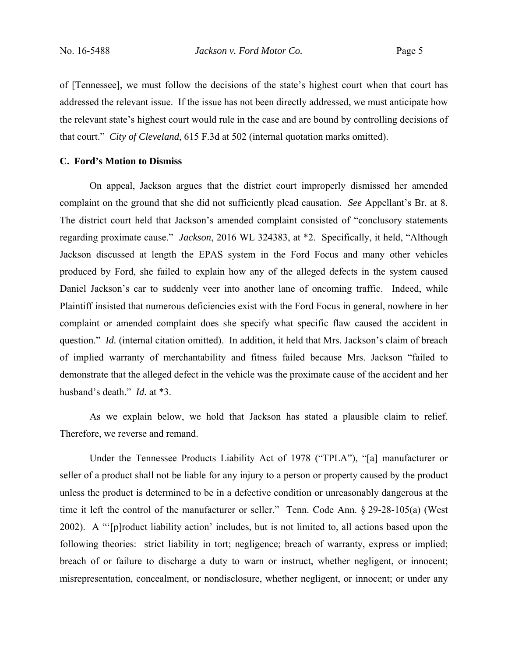of [Tennessee], we must follow the decisions of the state's highest court when that court has addressed the relevant issue. If the issue has not been directly addressed, we must anticipate how the relevant state's highest court would rule in the case and are bound by controlling decisions of that court." *City of Cleveland*, 615 F.3d at 502 (internal quotation marks omitted).

## **C. Ford's Motion to Dismiss**

On appeal, Jackson argues that the district court improperly dismissed her amended complaint on the ground that she did not sufficiently plead causation. *See* Appellant's Br. at 8. The district court held that Jackson's amended complaint consisted of "conclusory statements regarding proximate cause." *Jackson*, 2016 WL 324383, at \*2. Specifically, it held, "Although Jackson discussed at length the EPAS system in the Ford Focus and many other vehicles produced by Ford, she failed to explain how any of the alleged defects in the system caused Daniel Jackson's car to suddenly veer into another lane of oncoming traffic. Indeed, while Plaintiff insisted that numerous deficiencies exist with the Ford Focus in general, nowhere in her complaint or amended complaint does she specify what specific flaw caused the accident in question." *Id.* (internal citation omitted). In addition, it held that Mrs. Jackson's claim of breach of implied warranty of merchantability and fitness failed because Mrs. Jackson "failed to demonstrate that the alleged defect in the vehicle was the proximate cause of the accident and her husband's death." *Id.* at \*3.

As we explain below, we hold that Jackson has stated a plausible claim to relief. Therefore, we reverse and remand.

Under the Tennessee Products Liability Act of 1978 ("TPLA"), "[a] manufacturer or seller of a product shall not be liable for any injury to a person or property caused by the product unless the product is determined to be in a defective condition or unreasonably dangerous at the time it left the control of the manufacturer or seller." Tenn. Code Ann. § 29-28-105(a) (West 2002). A "'[p]roduct liability action' includes, but is not limited to, all actions based upon the following theories: strict liability in tort; negligence; breach of warranty, express or implied; breach of or failure to discharge a duty to warn or instruct, whether negligent, or innocent; misrepresentation, concealment, or nondisclosure, whether negligent, or innocent; or under any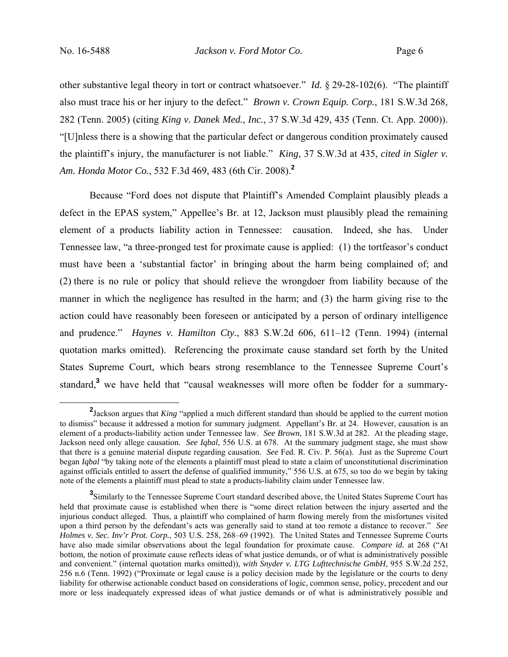other substantive legal theory in tort or contract whatsoever." *Id.* § 29-28-102(6). "The plaintiff also must trace his or her injury to the defect." *Brown v. Crown Equip. Corp.*, 181 S.W.3d 268, 282 (Tenn. 2005) (citing *King v. Danek Med., Inc.*, 37 S.W.3d 429, 435 (Tenn. Ct. App. 2000)). "[U]nless there is a showing that the particular defect or dangerous condition proximately caused the plaintiff's injury, the manufacturer is not liable." *King*, 37 S.W.3d at 435, *cited in Sigler v. Am. Honda Motor Co.*, 532 F.3d 469, 483 (6th Cir. 2008).**<sup>2</sup>**

Because "Ford does not dispute that Plaintiff's Amended Complaint plausibly pleads a defect in the EPAS system," Appellee's Br. at 12, Jackson must plausibly plead the remaining element of a products liability action in Tennessee: causation. Indeed, she has. Under Tennessee law, "a three-pronged test for proximate cause is applied: (1) the tortfeasor's conduct must have been a 'substantial factor' in bringing about the harm being complained of; and (2) there is no rule or policy that should relieve the wrongdoer from liability because of the manner in which the negligence has resulted in the harm; and (3) the harm giving rise to the action could have reasonably been foreseen or anticipated by a person of ordinary intelligence and prudence." *Haynes v. Hamilton Cty.*, 883 S.W.2d 606, 611–12 (Tenn. 1994) (internal quotation marks omitted). Referencing the proximate cause standard set forth by the United States Supreme Court, which bears strong resemblance to the Tennessee Supreme Court's standard,<sup>3</sup> we have held that "causal weaknesses will more often be fodder for a summary-

**<sup>2</sup>** <sup>2</sup>Jackson argues that *King* "applied a much different standard than should be applied to the current motion to dismiss" because it addressed a motion for summary judgment. Appellant's Br. at 24. However, causation is an element of a products-liability action under Tennessee law. *See Brown*, 181 S.W.3d at 282. At the pleading stage, Jackson need only allege causation. *See Iqbal*, 556 U.S. at 678. At the summary judgment stage, she must show that there is a genuine material dispute regarding causation. *See* Fed. R. Civ. P. 56(a). Just as the Supreme Court began *Iqbal* "by taking note of the elements a plaintiff must plead to state a claim of unconstitutional discrimination against officials entitled to assert the defense of qualified immunity," 556 U.S. at 675, so too do we begin by taking note of the elements a plaintiff must plead to state a products-liability claim under Tennessee law.

<sup>&</sup>lt;sup>3</sup>Similarly to the Tennessee Supreme Court standard described above, the United States Supreme Court has held that proximate cause is established when there is "some direct relation between the injury asserted and the injurious conduct alleged. Thus, a plaintiff who complained of harm flowing merely from the misfortunes visited upon a third person by the defendant's acts was generally said to stand at too remote a distance to recover." *See Holmes v. Sec. Inv'r Prot. Corp.*, 503 U.S. 258, 268–69 (1992). The United States and Tennessee Supreme Courts have also made similar observations about the legal foundation for proximate cause. *Compare id.* at 268 ("At bottom, the notion of proximate cause reflects ideas of what justice demands, or of what is administratively possible and convenient." (internal quotation marks omitted)), *with Snyder v. LTG Lufttechnische GmbH*, 955 S.W.2d 252, 256 n.6 (Tenn. 1992) ("Proximate or legal cause is a policy decision made by the legislature or the courts to deny liability for otherwise actionable conduct based on considerations of logic, common sense, policy, precedent and our more or less inadequately expressed ideas of what justice demands or of what is administratively possible and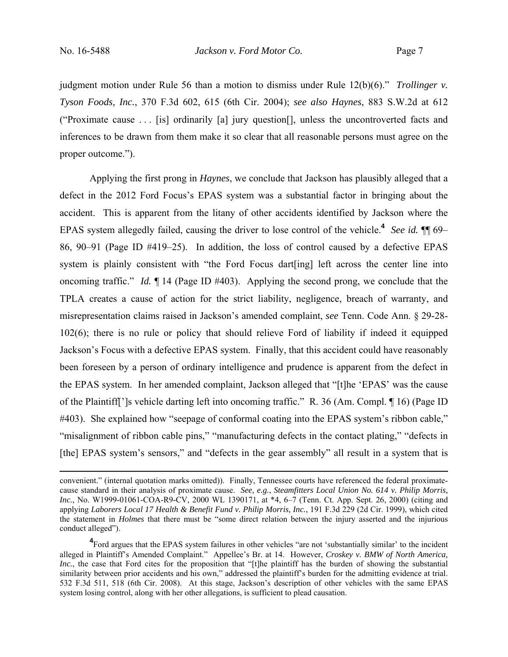judgment motion under Rule 56 than a motion to dismiss under Rule 12(b)(6)." *Trollinger v. Tyson Foods, Inc.*, 370 F.3d 602, 615 (6th Cir. 2004); *see also Haynes*, 883 S.W.2d at 612 ("Proximate cause . . . [is] ordinarily [a] jury question[], unless the uncontroverted facts and inferences to be drawn from them make it so clear that all reasonable persons must agree on the proper outcome.").

Applying the first prong in *Haynes*, we conclude that Jackson has plausibly alleged that a defect in the 2012 Ford Focus's EPAS system was a substantial factor in bringing about the accident. This is apparent from the litany of other accidents identified by Jackson where the EPAS system allegedly failed, causing the driver to lose control of the vehicle.**<sup>4</sup>** *See id.* ¶¶ 69– 86, 90–91 (Page ID #419–25). In addition, the loss of control caused by a defective EPAS system is plainly consistent with "the Ford Focus dart[ing] left across the center line into oncoming traffic." *Id.* ¶ 14 (Page ID #403). Applying the second prong, we conclude that the TPLA creates a cause of action for the strict liability, negligence, breach of warranty, and misrepresentation claims raised in Jackson's amended complaint, *see* Tenn. Code Ann. § 29-28- 102(6); there is no rule or policy that should relieve Ford of liability if indeed it equipped Jackson's Focus with a defective EPAS system. Finally, that this accident could have reasonably been foreseen by a person of ordinary intelligence and prudence is apparent from the defect in the EPAS system. In her amended complaint, Jackson alleged that "[t]he 'EPAS' was the cause of the Plaintiff[']s vehicle darting left into oncoming traffic." R. 36 (Am. Compl. ¶ 16) (Page ID #403). She explained how "seepage of conformal coating into the EPAS system's ribbon cable," "misalignment of ribbon cable pins," "manufacturing defects in the contact plating," "defects in [the] EPAS system's sensors," and "defects in the gear assembly" all result in a system that is

convenient." (internal quotation marks omitted)). Finally, Tennessee courts have referenced the federal proximatecause standard in their analysis of proximate cause. *See, e.g.*, *Steamfitters Local Union No. 614 v. Philip Morris, Inc.*, No. W1999-01061-COA-R9-CV, 2000 WL 1390171, at \*4, 6–7 (Tenn. Ct. App. Sept. 26, 2000) (citing and applying *Laborers Local 17 Health & Benefit Fund v. Philip Morris, Inc.*, 191 F.3d 229 (2d Cir. 1999), which cited the statement in *Holmes* that there must be "some direct relation between the injury asserted and the injurious conduct alleged").

<sup>&</sup>lt;sup>4</sup> Ford argues that the EPAS system failures in other vehicles "are not 'substantially similar' to the incident alleged in Plaintiff's Amended Complaint." Appellee's Br. at 14. However, *Croskey v. BMW of North America, Inc.*, the case that Ford cites for the proposition that "[t]he plaintiff has the burden of showing the substantial similarity between prior accidents and his own," addressed the plaintiff's burden for the admitting evidence at trial. 532 F.3d 511, 518 (6th Cir. 2008). At this stage, Jackson's description of other vehicles with the same EPAS system losing control, along with her other allegations, is sufficient to plead causation.